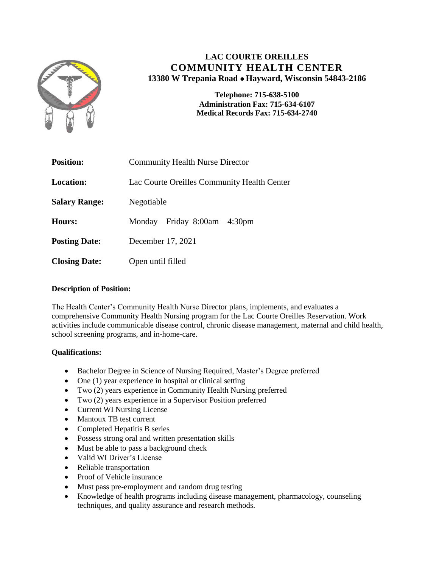

# **LAC COURTE OREILLES COMMUNITY HEALTH CENTER 13380 W Trepania Road Hayward, Wisconsin 54843-2186**

**Telephone: 715-638-5100 Administration Fax: 715-634-6107 Medical Records Fax: 715-634-2740**

| <b>Position:</b>     | <b>Community Health Nurse Director</b>      |
|----------------------|---------------------------------------------|
| <b>Location:</b>     | Lac Courte Oreilles Community Health Center |
| <b>Salary Range:</b> | Negotiable                                  |
| <b>Hours:</b>        | Monday – Friday $8:00am - 4:30pm$           |
| <b>Posting Date:</b> | December 17, 2021                           |
| <b>Closing Date:</b> | Open until filled                           |

# **Description of Position:**

The Health Center's Community Health Nurse Director plans, implements, and evaluates a comprehensive Community Health Nursing program for the Lac Courte Oreilles Reservation. Work activities include communicable disease control, chronic disease management, maternal and child health, school screening programs, and in-home-care.

# **Qualifications:**

- Bachelor Degree in Science of Nursing Required, Master's Degree preferred
- $\bullet$  One (1) year experience in hospital or clinical setting
- Two (2) years experience in Community Health Nursing preferred
- Two (2) years experience in a Supervisor Position preferred
- Current WI Nursing License
- Mantoux TB test current
- Completed Hepatitis B series
- Possess strong oral and written presentation skills
- Must be able to pass a background check
- Valid WI Driver's License
- Reliable transportation
- Proof of Vehicle insurance
- Must pass pre-employment and random drug testing
- Knowledge of health programs including disease management, pharmacology, counseling techniques, and quality assurance and research methods.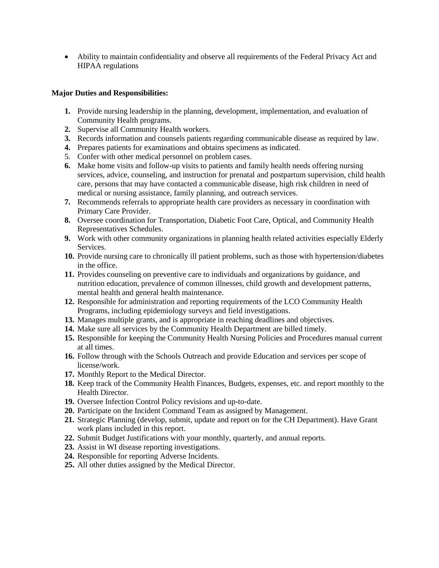Ability to maintain confidentiality and observe all requirements of the Federal Privacy Act and HIPAA regulations

## **Major Duties and Responsibilities:**

- **1.** Provide nursing leadership in the planning, development, implementation, and evaluation of Community Health programs.
- **2.** Supervise all Community Health workers.
- **3.** Records information and counsels patients regarding communicable disease as required by law.
- **4.** Prepares patients for examinations and obtains specimens as indicated.
- 5. Confer with other medical personnel on problem cases.
- **6.** Make home visits and follow-up visits to patients and family health needs offering nursing services, advice, counseling, and instruction for prenatal and postpartum supervision, child health care, persons that may have contacted a communicable disease, high risk children in need of medical or nursing assistance, family planning, and outreach services.
- **7.** Recommends referrals to appropriate health care providers as necessary in coordination with Primary Care Provider.
- **8.** Oversee coordination for Transportation, Diabetic Foot Care, Optical, and Community Health Representatives Schedules.
- **9.** Work with other community organizations in planning health related activities especially Elderly Services.
- **10.** Provide nursing care to chronically ill patient problems, such as those with hypertension/diabetes in the office.
- **11.** Provides counseling on preventive care to individuals and organizations by guidance, and nutrition education, prevalence of common illnesses, child growth and development patterns, mental health and general health maintenance.
- **12.** Responsible for administration and reporting requirements of the LCO Community Health Programs, including epidemiology surveys and field investigations.
- **13.** Manages multiple grants, and is appropriate in reaching deadlines and objectives.
- **14.** Make sure all services by the Community Health Department are billed timely.
- **15.** Responsible for keeping the Community Health Nursing Policies and Procedures manual current at all times.
- **16.** Follow through with the Schools Outreach and provide Education and services per scope of license/work.
- **17.** Monthly Report to the Medical Director.
- **18.** Keep track of the Community Health Finances, Budgets, expenses, etc. and report monthly to the Health Director.
- **19.** Oversee Infection Control Policy revisions and up-to-date.
- **20.** Participate on the Incident Command Team as assigned by Management.
- **21.** Strategic Planning (develop, submit, update and report on for the CH Department). Have Grant work plans included in this report.
- **22.** Submit Budget Justifications with your monthly, quarterly, and annual reports.
- **23.** Assist in WI disease reporting investigations.
- **24.** Responsible for reporting Adverse Incidents.
- **25.** All other duties assigned by the Medical Director.